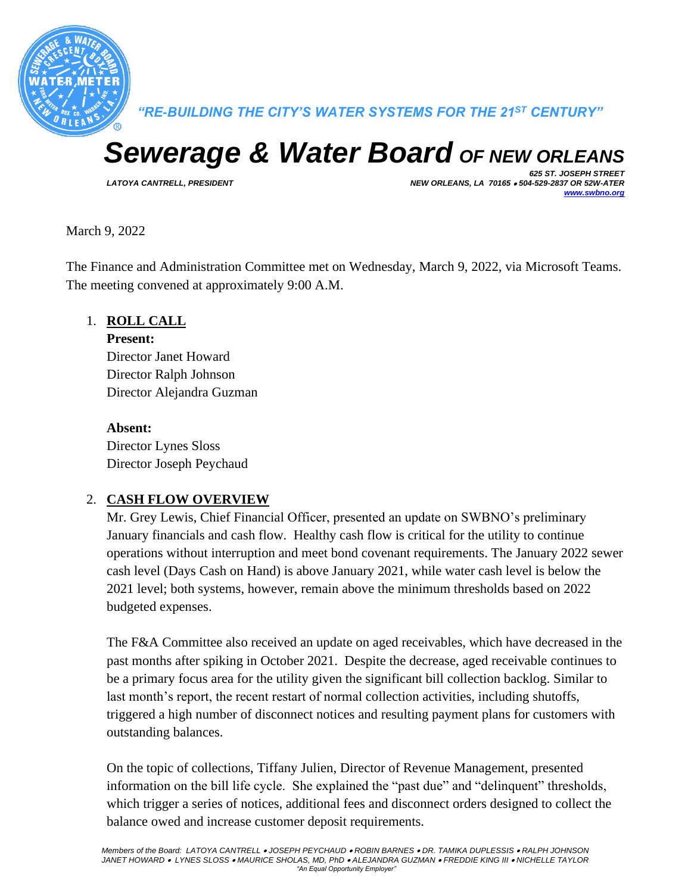

*"RE-BUILDING THE CITY'S WATER SYSTEMS FOR THE 21ST CENTURY"*

# *Sewerage & Water Board OF NEW ORLEANS*

*625 ST. JOSEPH STREET LATOYA CANTRELL, PRESIDENT NEW ORLEANS, LA 70165* • *504-529-2837 OR 52W-ATER [www.swbno.org](http://www.swbno.org/)*

March 9, 2022

The Finance and Administration Committee met on Wednesday, March 9, 2022, via Microsoft Teams. The meeting convened at approximately 9:00 A.M.

## 1. **ROLL CALL**

**Present:** Director Janet Howard

Director Ralph Johnson Director Alejandra Guzman

#### **Absent:**

Director Lynes Sloss Director Joseph Peychaud

# 2. **CASH FLOW OVERVIEW**

Mr. Grey Lewis, Chief Financial Officer, presented an update on SWBNO's preliminary January financials and cash flow. Healthy cash flow is critical for the utility to continue operations without interruption and meet bond covenant requirements. The January 2022 sewer cash level (Days Cash on Hand) is above January 2021, while water cash level is below the 2021 level; both systems, however, remain above the minimum thresholds based on 2022 budgeted expenses.

The F&A Committee also received an update on aged receivables, which have decreased in the past months after spiking in October 2021. Despite the decrease, aged receivable continues to be a primary focus area for the utility given the significant bill collection backlog. Similar to last month's report, the recent restart of normal collection activities, including shutoffs, triggered a high number of disconnect notices and resulting payment plans for customers with outstanding balances.

On the topic of collections, Tiffany Julien, Director of Revenue Management, presented information on the bill life cycle. She explained the "past due" and "delinquent" thresholds, which trigger a series of notices, additional fees and disconnect orders designed to collect the balance owed and increase customer deposit requirements.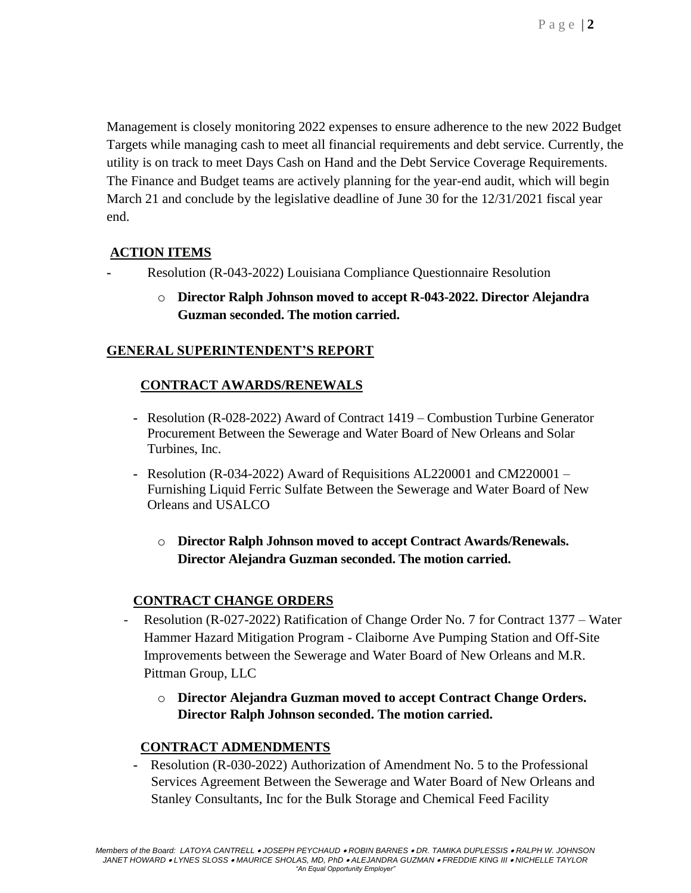Management is closely monitoring 2022 expenses to ensure adherence to the new 2022 Budget Targets while managing cash to meet all financial requirements and debt service. Currently, the utility is on track to meet Days Cash on Hand and the Debt Service Coverage Requirements. The Finance and Budget teams are actively planning for the year-end audit, which will begin March 21 and conclude by the legislative deadline of June 30 for the 12/31/2021 fiscal year end.

## **ACTION ITEMS**

- **-** Resolution (R-043-2022) Louisiana Compliance Questionnaire Resolution
	- o **Director Ralph Johnson moved to accept R-043-2022. Director Alejandra Guzman seconded. The motion carried.**

## **GENERAL SUPERINTENDENT'S REPORT**

## **CONTRACT AWARDS/RENEWALS**

- **-** Resolution (R-028-2022) Award of Contract 1419 Combustion Turbine Generator Procurement Between the Sewerage and Water Board of New Orleans and Solar Turbines, Inc.
- **-** Resolution (R-034-2022) Award of Requisitions AL220001 and CM220001 Furnishing Liquid Ferric Sulfate Between the Sewerage and Water Board of New Orleans and USALCO
	- o **Director Ralph Johnson moved to accept Contract Awards/Renewals. Director Alejandra Guzman seconded. The motion carried.**

#### **CONTRACT CHANGE ORDERS**

- Resolution (R-027-2022) Ratification of Change Order No. 7 for Contract 1377 Water Hammer Hazard Mitigation Program - Claiborne Ave Pumping Station and Off-Site Improvements between the Sewerage and Water Board of New Orleans and M.R. Pittman Group, LLC
	- o **Director Alejandra Guzman moved to accept Contract Change Orders. Director Ralph Johnson seconded. The motion carried.**

# **CONTRACT ADMENDMENTS**

**-** Resolution (R-030-2022) Authorization of Amendment No. 5 to the Professional Services Agreement Between the Sewerage and Water Board of New Orleans and Stanley Consultants, Inc for the Bulk Storage and Chemical Feed Facility